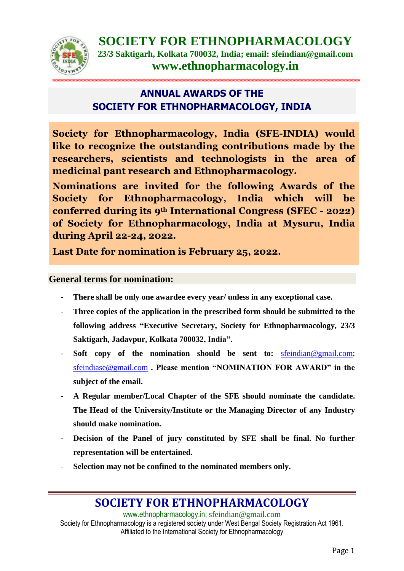

## **ANNUAL AWARDS OF THE SOCIETY FOR ETHNOPHARMACOLOGY, INDIA**

**Society for Ethnopharmacology, India (SFE-INDIA) would like to recognize the outstanding contributions made by the researchers, scientists and technologists in the area of medicinal pant research and Ethnopharmacology.**

**Nominations are invited for the following Awards of the Society for Ethnopharmacology, India which will be conferred during its 9th International Congress (SFEC - 2022) of Society for Ethnopharmacology, India at Mysuru, India during April 22-24, 2022.**

**Last Date for nomination is February 25, 2022.**

## **General terms for nomination:**

- **There shall be only one awardee every year/ unless in any exceptional case.**
- Three copies of the application in the prescribed form should be submitted to the **following address "Executive Secretary, Society for Ethnopharmacology, 23/3 Saktigarh, Jadavpur, Kolkata 700032, India".**
- **Soft copy of the nomination should be sent to:** [sfeindian@gmail.com;](mailto:sfeindian@gmail.com) [sfeindiase@gmail.com](mailto:sfeindiase@gmail.com) **. Please mention "NOMINATION FOR AWARD" in the subject of the email.**
- **A Regular member/Local Chapter of the SFE should nominate the candidate. The Head of the University/Institute or the Managing Director of any Industry should make nomination.**
- **Decision of the Panel of jury constituted by SFE shall be final. No further representation will be entertained.**
- Selection may not be confined to the nominated members only.

## **SOCIETY FOR ETHNOPHARMACOLOGY**

[www.ethnopharmacology.in;](http://www.ethnopharmacology.in/) [sfeindian@gmail.com](mailto:sfeindian@gmail.com) Society for Ethnopharmacology is a registered society under West Bengal Society Registration Act 1961. Affiliated to the International Society for Ethnopharmacology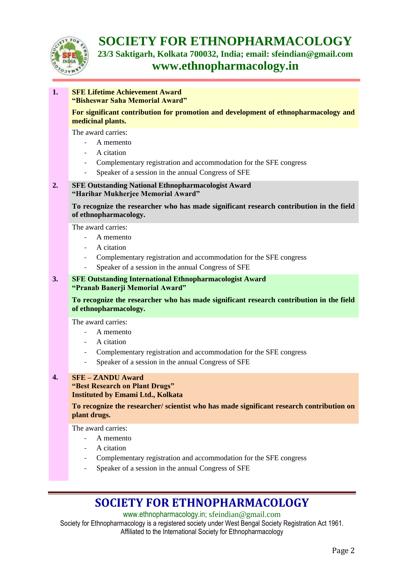

**SOCIETY FOR ETHNOPHARMACOLOGY 23/3 Saktigarh, Kolkata 700032, India; email: sfeindian@gmail.com www.ethnopharmacology.in**

### **1. SFE Lifetime Achievement Award "Bisheswar Saha Memorial Award"**

**For significant contribution for promotion and development of ethnopharmacology and medicinal plants.**

The award carries:

- A memento
- A citation
- Complementary registration and accommodation for the SFE congress
- Speaker of a session in the annual Congress of SFE

## **2. SFE Outstanding National Ethnopharmacologist Award "Harihar Mukherjee Memorial Award"**

**To recognize the researcher who has made significant research contribution in the field of ethnopharmacology.**

The award carries:

- A memento
- A citation
- Complementary registration and accommodation for the SFE congress
- Speaker of a session in the annual Congress of SFE

## **3. SFE Outstanding International Ethnopharmacologist Award "Pranab Banerji Memorial Award"**

**To recognize the researcher who has made significant research contribution in the field of ethnopharmacology.**

The award carries:

- A memento
- A citation
- Complementary registration and accommodation for the SFE congress
- Speaker of a session in the annual Congress of SFE

### **4. SFE – ZANDU Award**

**"Best Research on Plant Drugs" Instituted by Emami Ltd., Kolkata** 

**To recognize the researcher/ scientist who has made significant research contribution on plant drugs.**

The award carries:

- A memento
- A citation
- Complementary registration and accommodation for the SFE congress
- Speaker of a session in the annual Congress of SFE

# **SOCIETY FOR ETHNOPHARMACOLOGY**

[www.ethnopharmacology.in;](http://www.ethnopharmacology.in/) [sfeindian@gmail.com](mailto:sfeindian@gmail.com)

Society for Ethnopharmacology is a registered society under West Bengal Society Registration Act 1961. Affiliated to the International Society for Ethnopharmacology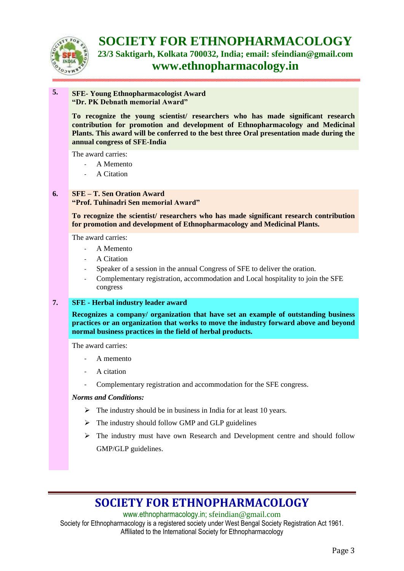

**SOCIETY FOR ETHNOPHARMACOLOGY 23/3 Saktigarh, Kolkata 700032, India; email: sfeindian@gmail.com www.ethnopharmacology.in**

## **5. SFE- Young Ethnopharmacologist Award "Dr. PK Debnath memorial Award"**

**To recognize the young scientist/ researchers who has made significant research contribution for promotion and development of Ethnopharmacology and Medicinal Plants. This award will be conferred to the best three Oral presentation made during the annual congress of SFE-India**

The award carries:

- A Memento
- A Citation

## **6. SFE – T. Sen Oration Award**

## **"Prof. Tuhinadri Sen memorial Award"**

**To recognize the scientist/ researchers who has made significant research contribution for promotion and development of Ethnopharmacology and Medicinal Plants.**

The award carries:

- A Memento
- A Citation
- Speaker of a session in the annual Congress of SFE to deliver the oration.
- Complementary registration, accommodation and Local hospitality to join the SFE congress

## **7. SFE - Herbal industry leader award**

**Recognizes a company/ organization that have set an example of outstanding business practices or an organization that works to move the industry forward above and beyond normal business practices in the field of herbal products.** 

The award carries:

- A memento
- A citation
- Complementary registration and accommodation for the SFE congress.

#### *Norms and Conditions:*

- $\triangleright$  The industry should be in business in India for at least 10 years.
- $\triangleright$  The industry should follow GMP and GLP guidelines
- $\triangleright$  The industry must have own Research and Development centre and should follow GMP/GLP guidelines.

# **SOCIETY FOR ETHNOPHARMACOLOGY**

[www.ethnopharmacology.in;](http://www.ethnopharmacology.in/) [sfeindian@gmail.com](mailto:sfeindian@gmail.com) Society for Ethnopharmacology is a registered society under West Bengal Society Registration Act 1961. Affiliated to the International Society for Ethnopharmacology